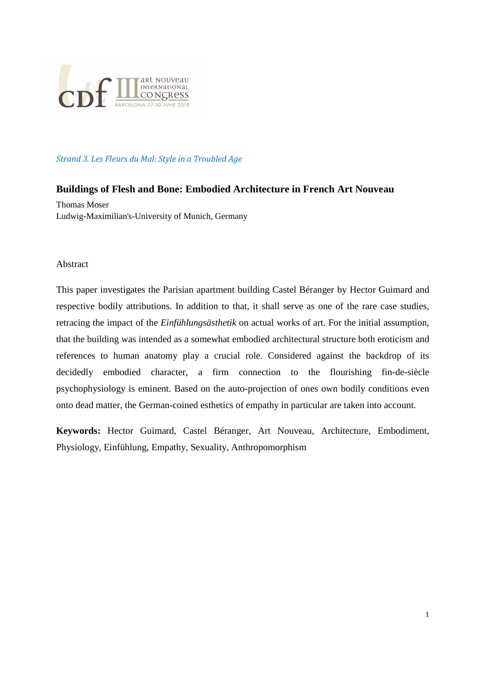

#### Strand 3. Les Fleurs du Mal: Style in a Troubled Age

#### **Buildings of Flesh and Bone: Embodied Architecture in French Art Nouveau**

Thomas Moser Ludwig-Maximilian's-University of Munich, Germany

#### Abstract

This paper investigates the Parisian apartment building Castel Béranger by Hector Guimard and respective bodily attributions. In addition to that, it shall serve as one of the rare case studies, retracing the impact of the *Einfühlungsästhetik* on actual works of art. For the initial assumption, that the building was intended as a somewhat embodied architectural structure both eroticism and references to human anatomy play a crucial role. Considered against the backdrop of its decidedly embodied character, a firm connection to the flourishing fin-de-siècle psychophysiology is eminent. Based on the auto-projection of ones own bodily conditions even onto dead matter, the German-coined esthetics of empathy in particular are taken into account.

**Keywords:** Hector Guimard, Castel Béranger, Art Nouveau, Architecture, Embodiment, Physiology, Einfühlung, Empathy, Sexuality, Anthropomorphism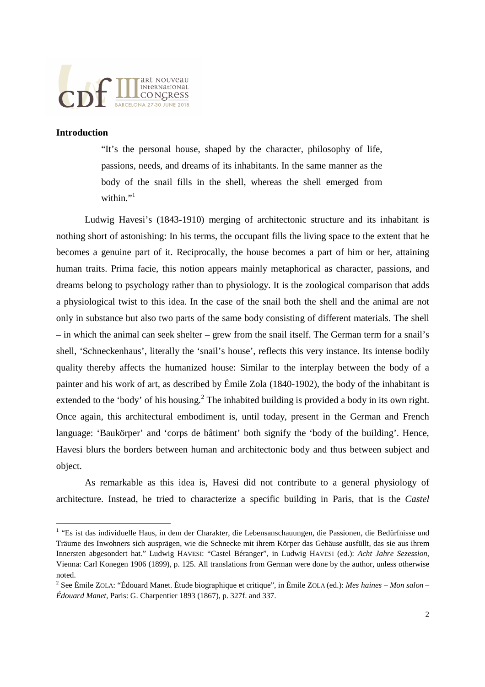

#### **Introduction**

"It's the personal house, shaped by the character, philosophy of life, passions, needs, and dreams of its inhabitants. In the same manner as the body of the snail fills in the shell, whereas the shell emerged from within $"$ <sup>1</sup>

 Ludwig Havesi's (1843-1910) merging of architectonic structure and its inhabitant is nothing short of astonishing: In his terms, the occupant fills the living space to the extent that he becomes a genuine part of it. Reciprocally, the house becomes a part of him or her, attaining human traits. Prima facie, this notion appears mainly metaphorical as character, passions, and dreams belong to psychology rather than to physiology. It is the zoological comparison that adds a physiological twist to this idea. In the case of the snail both the shell and the animal are not only in substance but also two parts of the same body consisting of different materials. The shell – in which the animal can seek shelter – grew from the snail itself. The German term for a snail's shell, 'Schneckenhaus', literally the 'snail's house', reflects this very instance. Its intense bodily quality thereby affects the humanized house: Similar to the interplay between the body of a painter and his work of art, as described by Émile Zola (1840-1902), the body of the inhabitant is extended to the 'body' of his housing.<sup>2</sup> The inhabited building is provided a body in its own right. Once again, this architectural embodiment is, until today, present in the German and French language: 'Baukörper' and 'corps de bâtiment' both signify the 'body of the building'. Hence, Havesi blurs the borders between human and architectonic body and thus between subject and object.

 As remarkable as this idea is, Havesi did not contribute to a general physiology of architecture. Instead, he tried to characterize a specific building in Paris, that is the *Castel* 

 1 "Es ist das individuelle Haus, in dem der Charakter, die Lebensanschauungen, die Passionen, die Bedürfnisse und Träume des Inwohners sich ausprägen, wie die Schnecke mit ihrem Körper das Gehäuse ausfüllt, das sie aus ihrem Innersten abgesondert hat." Ludwig HAVESI: "Castel Béranger", in Ludwig HAVESI (ed.): *Acht Jahre Sezession*, Vienna: Carl Konegen 1906 (1899), p. 125. All translations from German were done by the author, unless otherwise noted.

<sup>2</sup> See Émile ZOLA: "Édouard Manet. Étude biographique et critique", in Émile ZOLA (ed.): *Mes haines – Mon salon – Édouard Manet*, Paris: G. Charpentier 1893 (1867), p. 327f. and 337.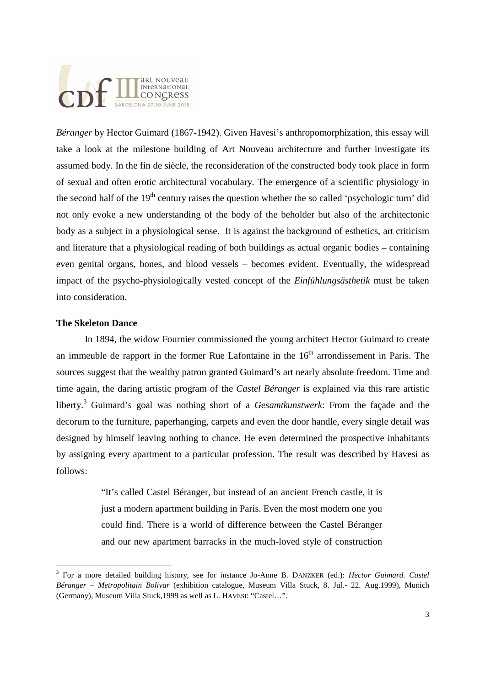*Béranger* by Hector Guimard (1867-1942). Given Havesi's anthropomorphization, this essay will take a look at the milestone building of Art Nouveau architecture and further investigate its assumed body. In the fin de siècle, the reconsideration of the constructed body took place in form of sexual and often erotic architectural vocabulary. The emergence of a scientific physiology in the second half of the  $19<sup>th</sup>$  century raises the question whether the so called 'psychologic turn' did not only evoke a new understanding of the body of the beholder but also of the architectonic body as a subject in a physiological sense. It is against the background of esthetics, art criticism and literature that a physiological reading of both buildings as actual organic bodies – containing even genital organs, bones, and blood vessels – becomes evident. Eventually, the widespread impact of the psycho-physiologically vested concept of the *Einfühlungsästhetik* must be taken into consideration.

#### **The Skeleton Dance**

 In 1894, the widow Fournier commissioned the young architect Hector Guimard to create an immeuble de rapport in the former Rue Lafontaine in the  $16<sup>th</sup>$  arrondissement in Paris. The sources suggest that the wealthy patron granted Guimard's art nearly absolute freedom. Time and time again, the daring artistic program of the *Castel Béranger* is explained via this rare artistic liberty.<sup>3</sup> Guimard's goal was nothing short of a *Gesamtkunstwerk*: From the façade and the decorum to the furniture, paperhanging, carpets and even the door handle, every single detail was designed by himself leaving nothing to chance. He even determined the prospective inhabitants by assigning every apartment to a particular profession. The result was described by Havesi as follows:

> "It's called Castel Béranger, but instead of an ancient French castle, it is just a modern apartment building in Paris. Even the most modern one you could find. There is a world of difference between the Castel Béranger and our new apartment barracks in the much-loved style of construction

 3 For a more detailed building history, see for instance Jo-Anne B. DANZKER (ed.): *Hector Guimard. Castel Béranger – Metropolitain Bolivar* (exhibition catalogue, Museum Villa Stuck, 8. Jul.- 22. Aug.1999), Munich (Germany), Museum Villa Stuck,1999 as well as L. HAVESI: "Castel…".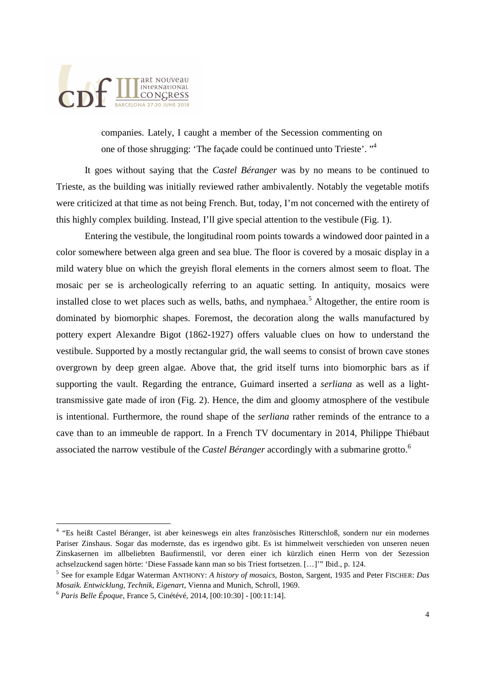

companies. Lately, I caught a member of the Secession commenting on one of those shrugging: 'The façade could be continued unto Trieste'. "<sup>4</sup>

 It goes without saying that the *Castel Béranger* was by no means to be continued to Trieste, as the building was initially reviewed rather ambivalently. Notably the vegetable motifs were criticized at that time as not being French. But, today, I'm not concerned with the entirety of this highly complex building. Instead, I'll give special attention to the vestibule (Fig. 1).

 Entering the vestibule, the longitudinal room points towards a windowed door painted in a color somewhere between alga green and sea blue. The floor is covered by a mosaic display in a mild watery blue on which the greyish floral elements in the corners almost seem to float. The mosaic per se is archeologically referring to an aquatic setting. In antiquity, mosaics were installed close to wet places such as wells, baths, and nymphaea.<sup>5</sup> Altogether, the entire room is dominated by biomorphic shapes. Foremost, the decoration along the walls manufactured by pottery expert Alexandre Bigot (1862-1927) offers valuable clues on how to understand the vestibule. Supported by a mostly rectangular grid, the wall seems to consist of brown cave stones overgrown by deep green algae. Above that, the grid itself turns into biomorphic bars as if supporting the vault. Regarding the entrance, Guimard inserted a *serliana* as well as a lighttransmissive gate made of iron (Fig. 2). Hence, the dim and gloomy atmosphere of the vestibule is intentional. Furthermore, the round shape of the *serliana* rather reminds of the entrance to a cave than to an immeuble de rapport. In a French TV documentary in 2014, Philippe Thiébaut associated the narrow vestibule of the *Castel Béranger* accordingly with a submarine grotto.<sup>6</sup>

 4 "Es heißt Castel Béranger, ist aber keineswegs ein altes französisches Ritterschloß, sondern nur ein modernes Pariser Zinshaus. Sogar das modernste, das es irgendwo gibt. Es ist himmelweit verschieden von unseren neuen Zinskasernen im allbeliebten Baufirmenstil, vor deren einer ich kürzlich einen Herrn von der Sezession achselzuckend sagen hörte: 'Diese Fassade kann man so bis Triest fortsetzen. […]'" Ibid., p. 124.

<sup>5</sup> See for example Edgar Waterman ANTHONY: *A history of mosaics*, Boston, Sargent, 1935 and Peter FISCHER: *Das Mosaik. Entwicklung, Technik, Eigenart*, Vienna and Munich, Schroll, 1969.

<sup>6</sup> *Paris Belle Époque*, France 5, Cinétévé, 2014, [00:10:30] - [00:11:14].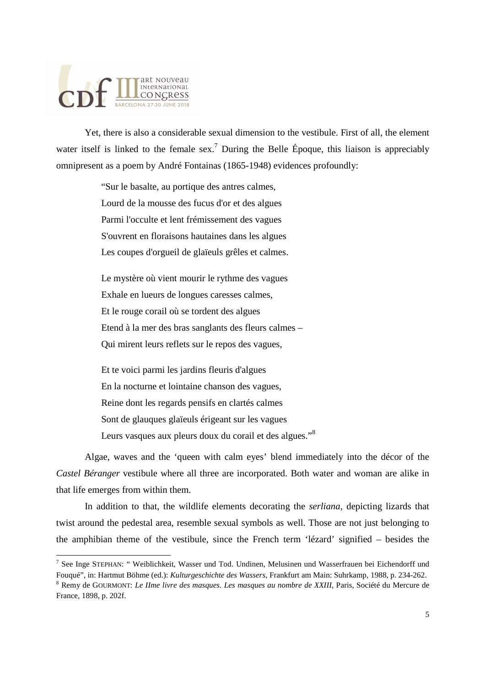# art NOUVeau **MERIANOUVEAU**<br>CONGRESS BARCELONA 27-30 JUNE 2018

l

 Yet, there is also a considerable sexual dimension to the vestibule. First of all, the element water itself is linked to the female sex.<sup>7</sup> During the Belle Époque, this liaison is appreciably omnipresent as a poem by André Fontainas (1865-1948) evidences profoundly:

> "Sur le basalte, au portique des antres calmes, Lourd de la mousse des fucus d'or et des algues Parmi l'occulte et lent frémissement des vagues S'ouvrent en floraisons hautaines dans les algues Les coupes d'orgueil de glaïeuls grêles et calmes.

Le mystère où vient mourir le rythme des vagues Exhale en lueurs de longues caresses calmes, Et le rouge corail où se tordent des algues Etend à la mer des bras sanglants des fleurs calmes – Qui mirent leurs reflets sur le repos des vagues,

Et te voici parmi les jardins fleuris d'algues En la nocturne et lointaine chanson des vagues, Reine dont les regards pensifs en clartés calmes Sont de glauques glaïeuls érigeant sur les vagues Leurs vasques aux pleurs doux du corail et des algues."<sup>8</sup>

 Algae, waves and the 'queen with calm eyes' blend immediately into the décor of the *Castel Béranger* vestibule where all three are incorporated. Both water and woman are alike in that life emerges from within them.

 In addition to that, the wildlife elements decorating the *serliana,* depicting lizards that twist around the pedestal area, resemble sexual symbols as well. Those are not just belonging to the amphibian theme of the vestibule, since the French term 'lézard' signified – besides the

<sup>7</sup> See Inge STEPHAN: " Weiblichkeit, Wasser und Tod. Undinen, Melusinen und Wasserfrauen bei Eichendorff und Fouqué", in: Hartmut Böhme (ed.): *Kulturgeschichte des Wassers*, Frankfurt am Main: Suhrkamp, 1988, p. 234-262.

<sup>8</sup> Remy de GOURMONT: *Le IIme livre des masques. Les masques au nombre de XXIII*, Paris, Société du Mercure de France, 1898, p. 202f.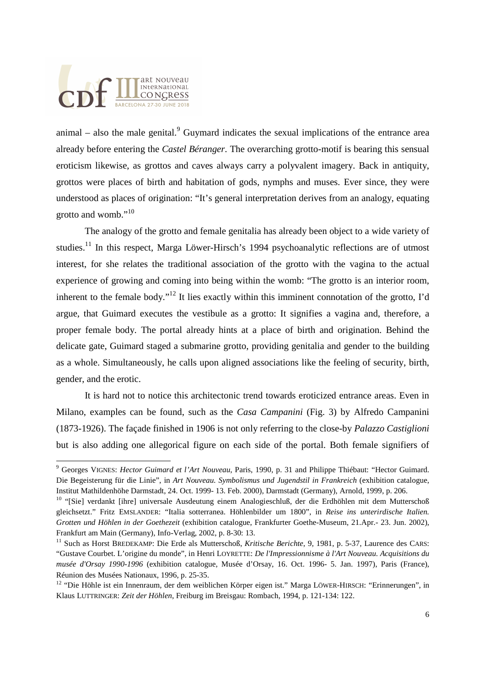animal  $-$  also the male genital.<sup>9</sup> Guymard indicates the sexual implications of the entrance area already before entering the *Castel Béranger*. The overarching grotto-motif is bearing this sensual eroticism likewise, as grottos and caves always carry a polyvalent imagery. Back in antiquity, grottos were places of birth and habitation of gods, nymphs and muses. Ever since, they were understood as places of origination: "It's general interpretation derives from an analogy, equating grotto and womb."<sup>10</sup>

 The analogy of the grotto and female genitalia has already been object to a wide variety of studies.<sup>11</sup> In this respect, Marga Löwer-Hirsch's 1994 psychoanalytic reflections are of utmost interest, for she relates the traditional association of the grotto with the vagina to the actual experience of growing and coming into being within the womb: "The grotto is an interior room, inherent to the female body."<sup>12</sup> It lies exactly within this imminent connotation of the grotto, I'd argue, that Guimard executes the vestibule as a grotto: It signifies a vagina and, therefore, a proper female body. The portal already hints at a place of birth and origination. Behind the delicate gate, Guimard staged a submarine grotto, providing genitalia and gender to the building as a whole. Simultaneously, he calls upon aligned associations like the feeling of security, birth, gender, and the erotic.

 It is hard not to notice this architectonic trend towards eroticized entrance areas. Even in Milano, examples can be found, such as the *Casa Campanini* (Fig. 3) by Alfredo Campanini (1873-1926). The façade finished in 1906 is not only referring to the close-by *Palazzo Castiglioni* but is also adding one allegorical figure on each side of the portal. Both female signifiers of

 9 Georges VIGNES: *Hector Guimard et l'Art Nouveau*, Paris, 1990, p. 31 and Philippe Thiébaut: "Hector Guimard. Die Begeisterung für die Linie", in *Art Nouveau. Symbolismus und Jugendstil in Frankreich* (exhibition catalogue, Institut Mathildenhöhe Darmstadt, 24. Oct. 1999- 13. Feb. 2000), Darmstadt (Germany), Arnold, 1999, p. 206.

<sup>&</sup>lt;sup>10</sup> "[Sie] verdankt [ihre] universale Ausdeutung einem Analogieschluß, der die Erdhöhlen mit dem Mutterschoß gleichsetzt." Fritz EMSLANDER: "Italia sotterranea. Höhlenbilder um 1800", in *Reise ins unterirdische Italien. Grotten und Höhlen in der Goethezeit* (exhibition catalogue, Frankfurter Goethe-Museum, 21.Apr.- 23. Jun. 2002), Frankfurt am Main (Germany), Info-Verlag, 2002, p. 8-30: 13.

<sup>11</sup> Such as Horst BREDEKAMP: Die Erde als Mutterschoß, *Kritische Berichte*, 9, 1981, p. 5-37, Laurence des CARS: "Gustave Courbet. L'origine du monde", in Henri LOYRETTE: *De l'Impressionnisme à l'Art Nouveau. Acquisitions du musée d'Orsay 1990-1996* (exhibition catalogue, Musée d'Orsay, 16. Oct. 1996- 5. Jan. 1997), Paris (France), Réunion des Musées Nationaux, 1996, p. 25-35.

<sup>&</sup>lt;sup>12</sup> "Die Höhle ist ein Innenraum, der dem weiblichen Körper eigen ist." Marga LÖWER-HIRSCH: "Erinnerungen", in Klaus LUTTRINGER: *Zeit der Höhlen*, Freiburg im Breisgau: Rombach, 1994, p. 121-134: 122.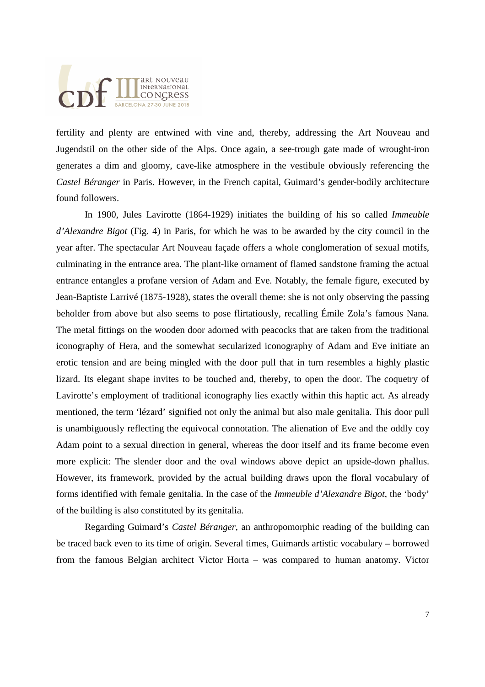# art NOUVeau **MART NOUVEAU**<br>CONGRESS BARCELONA 27-30 JUNE 201

fertility and plenty are entwined with vine and, thereby, addressing the Art Nouveau and Jugendstil on the other side of the Alps. Once again, a see-trough gate made of wrought-iron generates a dim and gloomy, cave-like atmosphere in the vestibule obviously referencing the *Castel Béranger* in Paris. However, in the French capital, Guimard's gender-bodily architecture found followers.

 In 1900, Jules Lavirotte (1864-1929) initiates the building of his so called *Immeuble d'Alexandre Bigot* (Fig. 4) in Paris, for which he was to be awarded by the city council in the year after. The spectacular Art Nouveau façade offers a whole conglomeration of sexual motifs, culminating in the entrance area. The plant-like ornament of flamed sandstone framing the actual entrance entangles a profane version of Adam and Eve. Notably, the female figure, executed by Jean-Baptiste Larrivé (1875-1928), states the overall theme: she is not only observing the passing beholder from above but also seems to pose flirtatiously, recalling Émile Zola's famous Nana. The metal fittings on the wooden door adorned with peacocks that are taken from the traditional iconography of Hera, and the somewhat secularized iconography of Adam and Eve initiate an erotic tension and are being mingled with the door pull that in turn resembles a highly plastic lizard. Its elegant shape invites to be touched and, thereby, to open the door. The coquetry of Lavirotte's employment of traditional iconography lies exactly within this haptic act. As already mentioned, the term 'lézard' signified not only the animal but also male genitalia. This door pull is unambiguously reflecting the equivocal connotation. The alienation of Eve and the oddly coy Adam point to a sexual direction in general, whereas the door itself and its frame become even more explicit: The slender door and the oval windows above depict an upside-down phallus. However, its framework, provided by the actual building draws upon the floral vocabulary of forms identified with female genitalia. In the case of the *Immeuble d'Alexandre Bigot*, the 'body' of the building is also constituted by its genitalia.

 Regarding Guimard's *Castel Béranger*, an anthropomorphic reading of the building can be traced back even to its time of origin. Several times, Guimards artistic vocabulary – borrowed from the famous Belgian architect Victor Horta – was compared to human anatomy. Victor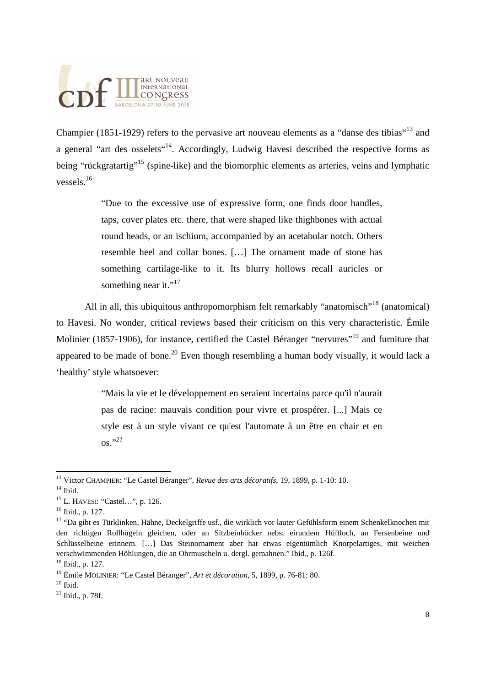Champier (1851-1929) refers to the pervasive art nouveau elements as a "danse des tibias"<sup>13</sup> and a general "art des osselets"<sup>14</sup>. Accordingly, Ludwig Havesi described the respective forms as being "rückgratartig"<sup>15</sup> (spine-like) and the biomorphic elements as arteries, veins and lymphatic vessels<sup>16</sup>

> "Due to the excessive use of expressive form, one finds door handles, taps, cover plates etc. there, that were shaped like thighbones with actual round heads, or an ischium, accompanied by an acetabular notch. Others resemble heel and collar bones. […] The ornament made of stone has something cartilage-like to it. Its blurry hollows recall auricles or something near it."<sup>17</sup>

All in all, this ubiquitous anthropomorphism felt remarkably "anatomisch"<sup>18</sup> (anatomical) to Havesi. No wonder, critical reviews based their criticism on this very characteristic. Émile Molinier (1857-1906), for instance, certified the Castel Béranger "nervures"<sup>19</sup> and furniture that appeared to be made of bone.<sup>20</sup> Even though resembling a human body visually, it would lack a 'healthy' style whatsoever:

> "Mais la vie et le développement en seraient incertains parce qu'il n'aurait pas de racine: mauvais condition pour vivre et prospérer. [...] Mais ce style est à un style vivant ce qu'est l'automate à un être en chair et en os."*<sup>21</sup>*

 <sup>13</sup> Victor CHAMPIER: "Le Castel Béranger", *Revue des arts décoratifs*, 19, 1899, p. 1-10: 10.

 $14$  Ibid.

<sup>15</sup> L. HAVESI: "Castel…", p. 126.

<sup>16</sup> Ibid., p. 127.

<sup>&</sup>lt;sup>17</sup> "Da gibt es Türklinken, Hähne, Deckelgriffe usf., die wirklich vor lauter Gefühlsform einem Schenkelknochen mit den richtigen Rollhügeln gleichen, oder an Sitzbeinhöcker nebst eirundem Hüftloch, an Fersenbeine und Schlüsselbeine erinnern. […] Das Steinornament aber hat etwas eigentümlich Knorpelartiges, mit weichen verschwimmenden Höhlungen, die an Ohrmuscheln u. dergl. gemahnen." Ibid., p. 126f.

<sup>18</sup> Ibid., p. 127.

<sup>19</sup> Émile MOLINIER: "Le Castel Béranger", *Art et décoration*, 5, 1899, p. 76-81: 80.

 $20$  Ibid.

 $^{21}$  Ibid., p. 78f.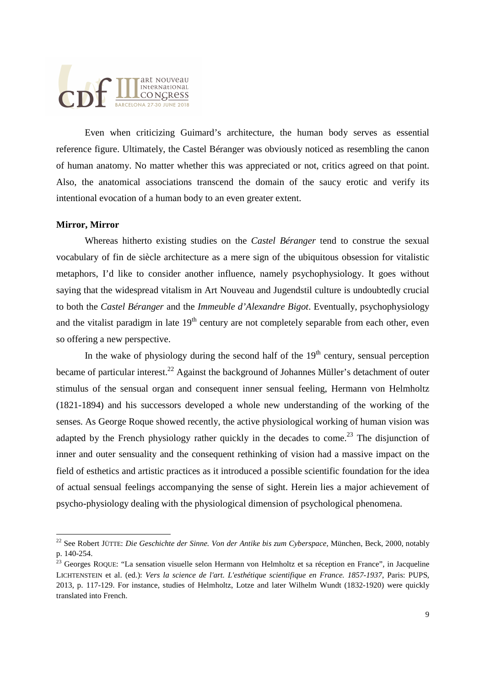### art nouveau INternational **LONGRESS** BARCELONA 27-30 JUNE 2018

 Even when criticizing Guimard's architecture, the human body serves as essential reference figure. Ultimately, the Castel Béranger was obviously noticed as resembling the canon of human anatomy. No matter whether this was appreciated or not, critics agreed on that point. Also, the anatomical associations transcend the domain of the saucy erotic and verify its intentional evocation of a human body to an even greater extent.

#### **Mirror, Mirror**

 Whereas hitherto existing studies on the *Castel Béranger* tend to construe the sexual vocabulary of fin de siècle architecture as a mere sign of the ubiquitous obsession for vitalistic metaphors, I'd like to consider another influence, namely psychophysiology. It goes without saying that the widespread vitalism in Art Nouveau and Jugendstil culture is undoubtedly crucial to both the *Castel Béranger* and the *Immeuble d'Alexandre Bigot*. Eventually, psychophysiology and the vitalist paradigm in late  $19<sup>th</sup>$  century are not completely separable from each other, even so offering a new perspective.

In the wake of physiology during the second half of the  $19<sup>th</sup>$  century, sensual perception became of particular interest.<sup>22</sup> Against the background of Johannes Müller's detachment of outer stimulus of the sensual organ and consequent inner sensual feeling, Hermann von Helmholtz (1821-1894) and his successors developed a whole new understanding of the working of the senses. As George Roque showed recently, the active physiological working of human vision was adapted by the French physiology rather quickly in the decades to come.<sup>23</sup> The disjunction of inner and outer sensuality and the consequent rethinking of vision had a massive impact on the field of esthetics and artistic practices as it introduced a possible scientific foundation for the idea of actual sensual feelings accompanying the sense of sight. Herein lies a major achievement of psycho-physiology dealing with the physiological dimension of psychological phenomena.

<sup>22</sup> See Robert JÜTTE: *Die Geschichte der Sinne. Von der Antike bis zum Cyberspace*, München, Beck, 2000, notably p. 140-254.

<sup>&</sup>lt;sup>23</sup> Georges ROQUE: "La sensation visuelle selon Hermann von Helmholtz et sa réception en France", in Jacqueline LICHTENSTEIN et al. (ed.): *Vers la science de l'art. L'esthétique scientifique en France. 1857-1937*, Paris: PUPS, 2013, p. 117-129. For instance, studies of Helmholtz, Lotze and later Wilhelm Wundt (1832-1920) were quickly translated into French.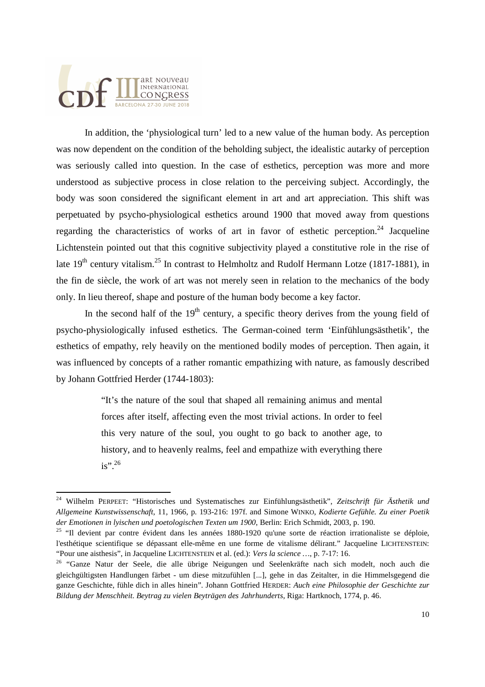In addition, the 'physiological turn' led to a new value of the human body. As perception was now dependent on the condition of the beholding subject, the idealistic autarky of perception was seriously called into question. In the case of esthetics, perception was more and more understood as subjective process in close relation to the perceiving subject. Accordingly, the body was soon considered the significant element in art and art appreciation. This shift was perpetuated by psycho-physiological esthetics around 1900 that moved away from questions regarding the characteristics of works of art in favor of esthetic perception.<sup>24</sup> Jacqueline Lichtenstein pointed out that this cognitive subjectivity played a constitutive role in the rise of late  $19<sup>th</sup>$  century vitalism.<sup>25</sup> In contrast to Helmholtz and Rudolf Hermann Lotze (1817-1881), in the fin de siècle, the work of art was not merely seen in relation to the mechanics of the body only. In lieu thereof, shape and posture of the human body become a key factor.

In the second half of the  $19<sup>th</sup>$  century, a specific theory derives from the young field of psycho-physiologically infused esthetics. The German-coined term 'Einfühlungsästhetik', the esthetics of empathy, rely heavily on the mentioned bodily modes of perception. Then again, it was influenced by concepts of a rather romantic empathizing with nature, as famously described by Johann Gottfried Herder (1744-1803):

> "It's the nature of the soul that shaped all remaining animus and mental forces after itself, affecting even the most trivial actions. In order to feel this very nature of the soul, you ought to go back to another age, to history, and to heavenly realms, feel and empathize with everything there  $is$ ".  $^{26}$

 $\overline{a}$ <sup>24</sup> Wilhelm PERPEET: "Historisches und Systematisches zur Einfühlungsästhetik", *Zeitschrift für Ästhetik und Allgemeine Kunstwissenschaft*, 11, 1966, p. 193-216: 197f. and Simone WINKO, *Kodierte Gefühle. Zu einer Poetik der Emotionen in lyischen und poetologischen Texten um 1900*, Berlin: Erich Schmidt, 2003, p. 190.

<sup>&</sup>lt;sup>25</sup> "Il devient par contre évident dans les années 1880-1920 qu'une sorte de réaction irrationaliste se déploie, l'esthétique scientifique se dépassant elle-même en une forme de vitalisme délirant." Jacqueline LICHTENSTEIN: "Pour une aisthesis", in Jacqueline LICHTENSTEIN et al. (ed.): *Vers la science …*, p. 7-17: 16.

<sup>&</sup>lt;sup>26</sup> "Ganze Natur der Seele, die alle übrige Neigungen und Seelenkräfte nach sich modelt, noch auch die gleichgültigsten Handlungen färbet - um diese mitzufühlen [...], gehe in das Zeitalter, in die Himmelsgegend die ganze Geschichte, fühle dich in alles hinein". Johann Gottfried HERDER: *Auch eine Philosophie der Geschichte zur Bildung der Menschheit. Beytrag zu vielen Beyträgen des Jahrhunderts*, Riga: Hartknoch, 1774, p. 46.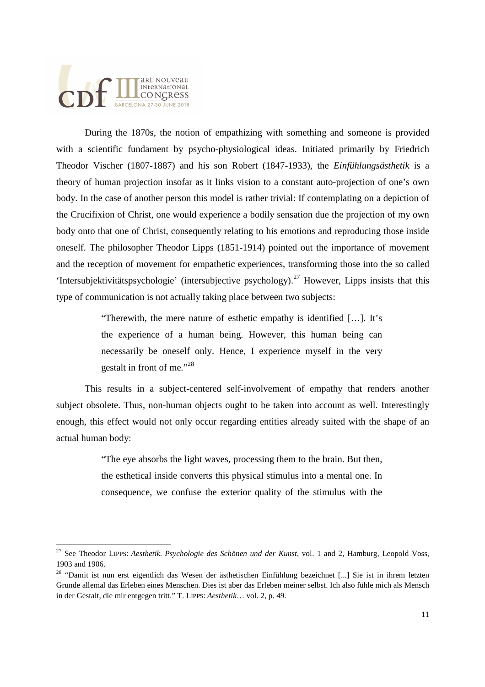During the 1870s, the notion of empathizing with something and someone is provided with a scientific fundament by psycho-physiological ideas. Initiated primarily by Friedrich Theodor Vischer (1807-1887) and his son Robert (1847-1933), the *Einfühlungsästhetik* is a theory of human projection insofar as it links vision to a constant auto-projection of one's own body. In the case of another person this model is rather trivial: If contemplating on a depiction of the Crucifixion of Christ, one would experience a bodily sensation due the projection of my own body onto that one of Christ, consequently relating to his emotions and reproducing those inside oneself. The philosopher Theodor Lipps (1851-1914) pointed out the importance of movement and the reception of movement for empathetic experiences, transforming those into the so called 'Intersubjektivitätspsychologie' (intersubjective psychology).<sup>27</sup> However, Lipps insists that this type of communication is not actually taking place between two subjects:

> "Therewith, the mere nature of esthetic empathy is identified […]. It's the experience of a human being. However, this human being can necessarily be oneself only. Hence, I experience myself in the very gestalt in front of me."<sup>28</sup>

 This results in a subject-centered self-involvement of empathy that renders another subject obsolete. Thus, non-human objects ought to be taken into account as well. Interestingly enough, this effect would not only occur regarding entities already suited with the shape of an actual human body:

> "The eye absorbs the light waves, processing them to the brain. But then, the esthetical inside converts this physical stimulus into a mental one. In consequence, we confuse the exterior quality of the stimulus with the

<sup>27</sup> See Theodor LIPPS: *Aesthetik. Psychologie des Schönen und der Kunst*, vol. 1 and 2, Hamburg, Leopold Voss, 1903 and 1906.

<sup>&</sup>lt;sup>28</sup> "Damit ist nun erst eigentlich das Wesen der ästhetischen Einfühlung bezeichnet [...] Sie ist in ihrem letzten Grunde allemal das Erleben eines Menschen. Dies ist aber das Erleben meiner selbst. Ich also fühle mich als Mensch in der Gestalt, die mir entgegen tritt." T. LIPPS: *Aesthetik*… vol. 2, p. 49.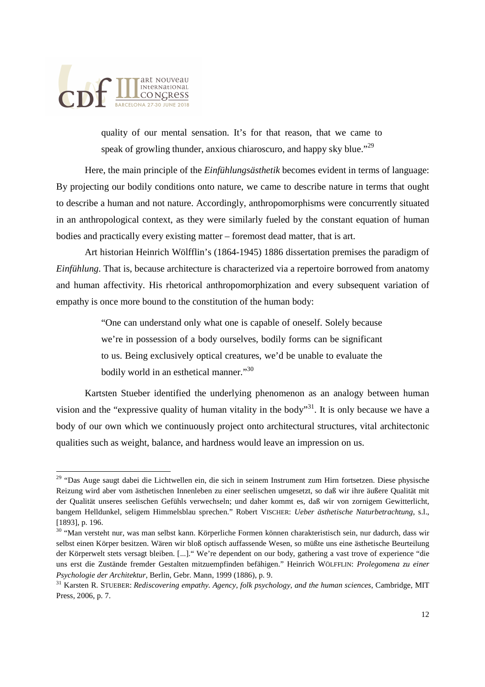

quality of our mental sensation. It's for that reason, that we came to speak of growling thunder, anxious chiaroscuro, and happy sky blue."<sup>29</sup>

 Here, the main principle of the *Einfühlungsästhetik* becomes evident in terms of language: By projecting our bodily conditions onto nature, we came to describe nature in terms that ought to describe a human and not nature. Accordingly, anthropomorphisms were concurrently situated in an anthropological context, as they were similarly fueled by the constant equation of human bodies and practically every existing matter – foremost dead matter, that is art.

 Art historian Heinrich Wölfflin's (1864-1945) 1886 dissertation premises the paradigm of *Einfühlung*. That is, because architecture is characterized via a repertoire borrowed from anatomy and human affectivity. His rhetorical anthropomorphization and every subsequent variation of empathy is once more bound to the constitution of the human body:

> "One can understand only what one is capable of oneself. Solely because we're in possession of a body ourselves, bodily forms can be significant to us. Being exclusively optical creatures, we'd be unable to evaluate the bodily world in an esthetical manner."<sup>30</sup>

 Kartsten Stueber identified the underlying phenomenon as an analogy between human vision and the "expressive quality of human vitality in the body"<sup>31</sup>. It is only because we have a body of our own which we continuously project onto architectural structures, vital architectonic qualities such as weight, balance, and hardness would leave an impression on us.

<sup>&</sup>lt;sup>29</sup> "Das Auge saugt dabei die Lichtwellen ein, die sich in seinem Instrument zum Hirn fortsetzen. Diese physische Reizung wird aber vom ästhetischen Innenleben zu einer seelischen umgesetzt, so daß wir ihre äußere Qualität mit der Qualität unseres seelischen Gefühls verwechseln; und daher kommt es, daß wir von zornigem Gewitterlicht, bangem Helldunkel, seligem Himmelsblau sprechen." Robert VISCHER: *Ueber ästhetische Naturbetrachtung*, s.l., [1893], p. 196.

<sup>&</sup>lt;sup>30</sup> "Man versteht nur, was man selbst kann. Körperliche Formen können charakteristisch sein, nur dadurch, dass wir selbst einen Körper besitzen. Wären wir bloß optisch auffassende Wesen, so müßte uns eine ästhetische Beurteilung der Körperwelt stets versagt bleiben. [...]." We're dependent on our body, gathering a vast trove of experience "die uns erst die Zustände fremder Gestalten mitzuempfinden befähigen." Heinrich WÖLFFLIN: *Prolegomena zu einer Psychologie der Architektur*, Berlin, Gebr. Mann, 1999 (1886), p. 9.

<sup>31</sup> Karsten R. STUEBER: *Rediscovering empathy. Agency, folk psychology, and the human sciences*, Cambridge, MIT Press, 2006, p. 7.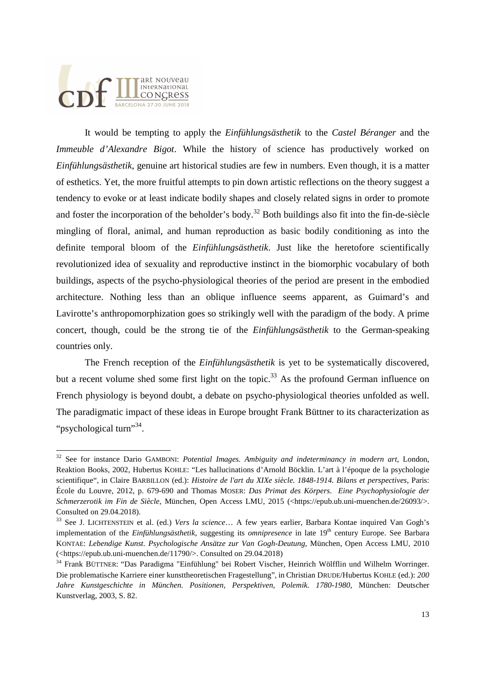It would be tempting to apply the *Einfühlungsästhetik* to the *Castel Béranger* and the *Immeuble d'Alexandre Bigot*. While the history of science has productively worked on *Einfühlungsästhetik*, genuine art historical studies are few in numbers. Even though, it is a matter of esthetics. Yet, the more fruitful attempts to pin down artistic reflections on the theory suggest a tendency to evoke or at least indicate bodily shapes and closely related signs in order to promote and foster the incorporation of the beholder's body.<sup>32</sup> Both buildings also fit into the fin-de-siècle mingling of floral, animal, and human reproduction as basic bodily conditioning as into the definite temporal bloom of the *Einfühlungsästhetik*. Just like the heretofore scientifically revolutionized idea of sexuality and reproductive instinct in the biomorphic vocabulary of both buildings, aspects of the psycho-physiological theories of the period are present in the embodied architecture. Nothing less than an oblique influence seems apparent, as Guimard's and Lavirotte's anthropomorphization goes so strikingly well with the paradigm of the body. A prime concert, though, could be the strong tie of the *Einfühlungsästhetik* to the German-speaking countries only.

 The French reception of the *Einfühlungsästhetik* is yet to be systematically discovered, but a recent volume shed some first light on the topic.<sup>33</sup> As the profound German influence on French physiology is beyond doubt, a debate on psycho-physiological theories unfolded as well. The paradigmatic impact of these ideas in Europe brought Frank Büttner to its characterization as "psychological turn"<sup>34</sup>.

<sup>32</sup> See for instance Dario GAMBONI: *Potential Images. Ambiguity and indeterminancy in modern art*, London, Reaktion Books, 2002, Hubertus KOHLE: "Les hallucinations d'Arnold Böcklin. L'art à l'époque de la psychologie scientifique", in Claire BARBILLON (ed.): *Histoire de l'art du XIXe siècle. 1848-1914. Bilans et perspectives*, Paris: École du Louvre, 2012, p. 679-690 and Thomas MOSER: *Das Primat des Körpers. Eine Psychophysiologie der Schmerzerotik im Fin de Siècle*, München, Open Access LMU, 2015 (<https://epub.ub.uni-muenchen.de/26093/>. Consulted on 29.04.2018).

<sup>33</sup> See J. LICHTENSTEIN et al. (ed.) *Vers la science*… A few years earlier, Barbara Kontae inquired Van Gogh's implementation of the *Einfühlungsästhetik*, suggesting its *omnipresence* in late 19<sup>th</sup> century Europe. See Barbara KONTAE: *Lebendige Kunst. Psychologische Ansätze zur Van Gogh-Deutung*, München, Open Access LMU, 2010 (<https://epub.ub.uni-muenchen.de/11790/>. Consulted on 29.04.2018)

<sup>&</sup>lt;sup>34</sup> Frank BÜTTNER: "Das Paradigma "Einfühlung" bei Robert Vischer, Heinrich Wölfflin und Wilhelm Worringer. Die problematische Karriere einer kunsttheoretischen Fragestellung", in Christian DRUDE/Hubertus KOHLE (ed.): *200 Jahre Kunstgeschichte in München. Positionen, Perspektiven, Polemik. 1780-1980*, München: Deutscher Kunstverlag, 2003, S. 82.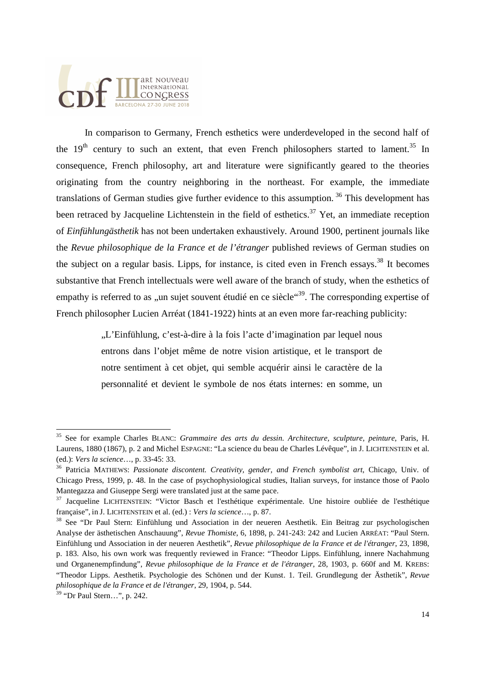In comparison to Germany, French esthetics were underdeveloped in the second half of the  $19<sup>th</sup>$  century to such an extent, that even French philosophers started to lament.<sup>35</sup> In consequence, French philosophy, art and literature were significantly geared to the theories originating from the country neighboring in the northeast. For example, the immediate translations of German studies give further evidence to this assumption.<sup>36</sup> This development has been retraced by Jacqueline Lichtenstein in the field of esthetics.<sup>37</sup> Yet, an immediate reception of *Einfühlungästhetik* has not been undertaken exhaustively. Around 1900, pertinent journals like the *Revue philosophique de la France et de l'étranger* published reviews of German studies on the subject on a regular basis. Lipps, for instance, is cited even in French essays.<sup>38</sup> It becomes substantive that French intellectuals were well aware of the branch of study, when the esthetics of empathy is referred to as  $\mu$ un sujet souvent étudié en ce siècle $\mathfrak{e}^{39}$ . The corresponding expertise of French philosopher Lucien Arréat (1841-1922) hints at an even more far-reaching publicity:

> "L'Einfühlung, c'est-à-dire à la fois l'acte d'imagination par lequel nous entrons dans l'objet même de notre vision artistique, et le transport de notre sentiment à cet objet, qui semble acquérir ainsi le caractère de la personnalité et devient le symbole de nos états internes: en somme, un

l

<sup>35</sup> See for example Charles BLANC: *Grammaire des arts du dessin. Architecture, sculpture, peinture*, Paris, H. Laurens, 1880 (1867), p. 2 and Michel ESPAGNE: "La science du beau de Charles Lévêque", in J. LICHTENSTEIN et al. (ed.): *Vers la science*…, p. 33-45: 33.

<sup>36</sup> Patricia MATHEWS: *Passionate discontent. Creativity, gender, and French symbolist art*, Chicago, Univ. of Chicago Press, 1999, p. 48. In the case of psychophysiological studies, Italian surveys, for instance those of Paolo Mantegazza and Giuseppe Sergi were translated just at the same pace.

<sup>37</sup> Jacqueline LICHTENSTEIN: "Victor Basch et l'esthétique expérimentale. Une histoire oubliée de l'esthétique française", in J. LICHTENSTEIN et al. (ed.) : *Vers la science*…, p. 87.

<sup>&</sup>lt;sup>38</sup> See "Dr Paul Stern: Einfühlung und Association in der neueren Aesthetik. Ein Beitrag zur psychologischen Analyse der ästhetischen Anschauung", *Revue Thomiste*, 6, 1898, p. 241-243: 242 and Lucien ARRÉAT: "Paul Stern. Einfühlung und Association in der neueren Aesthetik", *Revue philosophique de la France et de l'étranger*, 23, 1898, p. 183. Also, his own work was frequently reviewed in France: "Theodor Lipps. Einfühlung, innere Nachahmung und Organenempfindung", *Revue philosophique de la France et de l'étranger*, 28, 1903, p. 660f and M. KREBS: "Theodor Lipps. Aesthetik. Psychologie des Schönen und der Kunst. 1. Teil. Grundlegung der Ästhetik", *Revue philosophique de la France et de l'étranger*, 29, 1904, p. 544.

<sup>39</sup> "Dr Paul Stern…", p. 242.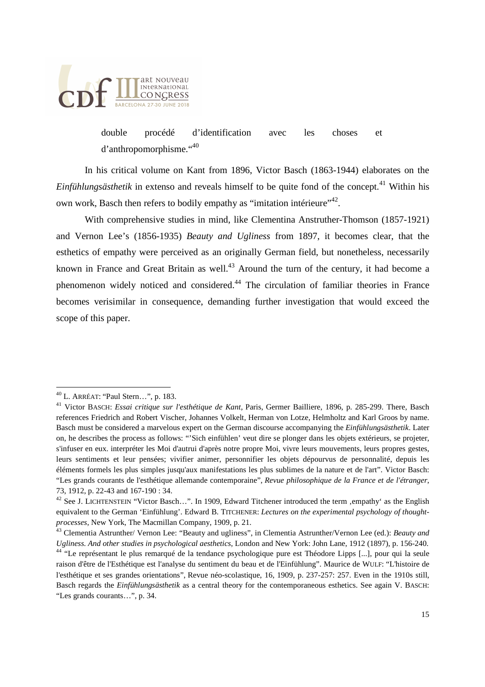

double procédé d'identification avec les choses et d'anthropomorphisme."<sup>40</sup>

 In his critical volume on Kant from 1896, Victor Basch (1863-1944) elaborates on the *Einfühlungsästhetik* in extenso and reveals himself to be quite fond of the concept.<sup>41</sup> Within his own work, Basch then refers to bodily empathy as "imitation intérieure"<sup>42</sup>.

 With comprehensive studies in mind, like Clementina Anstruther-Thomson (1857-1921) and Vernon Lee's (1856-1935) *Beauty and Ugliness* from 1897, it becomes clear, that the esthetics of empathy were perceived as an originally German field, but nonetheless, necessarily known in France and Great Britain as well. $43$  Around the turn of the century, it had become a phenomenon widely noticed and considered.<sup>44</sup> The circulation of familiar theories in France becomes verisimilar in consequence, demanding further investigation that would exceed the scope of this paper.

<sup>40</sup> L. ARRÉAT: "Paul Stern…", p. 183.

<sup>41</sup> Victor BASCH: *Essai critique sur l'esthétique de Kant*, Paris, Germer Bailliere, 1896, p. 285-299. There, Basch references Friedrich and Robert Vischer, Johannes Volkelt, Herman von Lotze, Helmholtz and Karl Groos by name. Basch must be considered a marvelous expert on the German discourse accompanying the *Einfühlungsästhetik*. Later on, he describes the process as follows: "'Sich einfühlen' veut dire se plonger dans les objets extérieurs, se projeter, s'infuser en eux. interpréter les Moi d'autrui d'après notre propre Moi, vivre leurs mouvements, leurs propres gestes, leurs sentiments et leur pensées; vivifier animer, personnifier les objets dépourvus de personnalité, depuis les éléments formels les plus simples jusqu'aux manifestations les plus sublimes de la nature et de l'art". Victor Basch: "Les grands courants de l'esthétique allemande contemporaine", *Revue philosophique de la France et de l'étranger*, 73, 1912, p. 22-43 and 167-190 : 34.

<sup>&</sup>lt;sup>42</sup> See J. LICHTENSTEIN "Victor Basch...". In 1909, Edward Titchener introduced the term .empathy' as the English equivalent to the German 'Einfühlung'. Edward B. TITCHENER: *Lectures on the experimental psychology of thoughtprocesses*, New York, The Macmillan Company, 1909, p. 21.

<sup>43</sup> Clementia Astrunther/ Vernon Lee: "Beauty and ugliness", in Clementia Astrunther/Vernon Lee (ed.): *Beauty and Ugliness. And other studies in psychological aesthetics*, London and New York: John Lane, 1912 (1897), p. 156-240. <sup>44</sup> "Le représentant le plus remarqué de la tendance psychologique pure est Théodore Lipps [...], pour qui la seule raison d'être de l'Esthétique est l'analyse du sentiment du beau et de l'Einfühlung". Maurice de WULF: "L'histoire de l'esthétique et ses grandes orientations", Revue néo-scolastique, 16, 1909, p. 237-257: 257. Even in the 1910s still, Basch regards the *Einfühlungsästhetik* as a central theory for the contemporaneous esthetics. See again V. BASCH: "Les grands courants…", p. 34.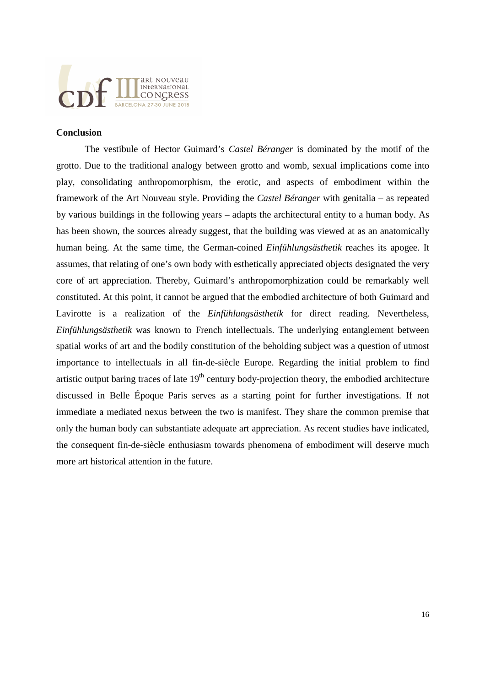

#### **Conclusion**

 The vestibule of Hector Guimard's *Castel Béranger* is dominated by the motif of the grotto. Due to the traditional analogy between grotto and womb, sexual implications come into play, consolidating anthropomorphism, the erotic, and aspects of embodiment within the framework of the Art Nouveau style. Providing the *Castel Béranger* with genitalia – as repeated by various buildings in the following years – adapts the architectural entity to a human body. As has been shown, the sources already suggest, that the building was viewed at as an anatomically human being. At the same time, the German-coined *Einfühlungsästhetik* reaches its apogee. It assumes, that relating of one's own body with esthetically appreciated objects designated the very core of art appreciation. Thereby, Guimard's anthropomorphization could be remarkably well constituted. At this point, it cannot be argued that the embodied architecture of both Guimard and Lavirotte is a realization of the *Einfühlungsästhetik* for direct reading. Nevertheless, *Einfühlungsästhetik* was known to French intellectuals. The underlying entanglement between spatial works of art and the bodily constitution of the beholding subject was a question of utmost importance to intellectuals in all fin-de-siècle Europe. Regarding the initial problem to find artistic output baring traces of late  $19<sup>th</sup>$  century body-projection theory, the embodied architecture discussed in Belle Époque Paris serves as a starting point for further investigations. If not immediate a mediated nexus between the two is manifest. They share the common premise that only the human body can substantiate adequate art appreciation. As recent studies have indicated, the consequent fin-de-siècle enthusiasm towards phenomena of embodiment will deserve much more art historical attention in the future.